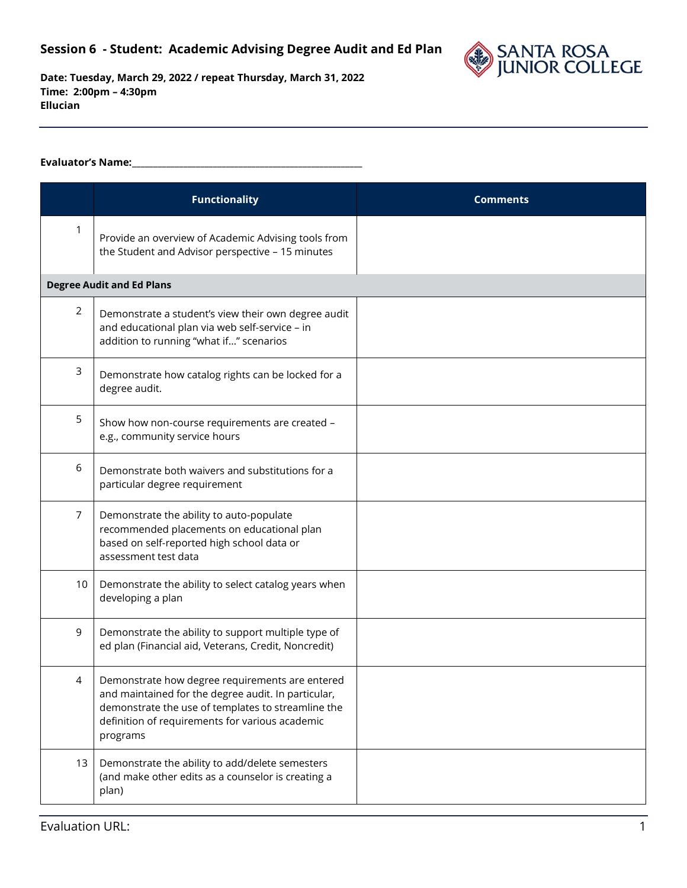

## **Evaluator's Name:\_\_\_\_\_\_\_\_\_\_\_\_\_\_\_\_\_\_\_\_\_\_\_\_\_\_\_\_\_\_\_\_\_\_\_\_\_\_\_\_\_\_\_\_\_\_\_\_\_\_\_\_\_\_**

|                | <b>Functionality</b>                                                                                                                                                                                                        | <b>Comments</b> |
|----------------|-----------------------------------------------------------------------------------------------------------------------------------------------------------------------------------------------------------------------------|-----------------|
| 1              | Provide an overview of Academic Advising tools from<br>the Student and Advisor perspective - 15 minutes                                                                                                                     |                 |
|                | <b>Degree Audit and Ed Plans</b>                                                                                                                                                                                            |                 |
| $\overline{2}$ | Demonstrate a student's view their own degree audit<br>and educational plan via web self-service - in<br>addition to running "what if" scenarios                                                                            |                 |
| 3              | Demonstrate how catalog rights can be locked for a<br>degree audit.                                                                                                                                                         |                 |
| 5              | Show how non-course requirements are created -<br>e.g., community service hours                                                                                                                                             |                 |
| 6              | Demonstrate both waivers and substitutions for a<br>particular degree requirement                                                                                                                                           |                 |
| 7              | Demonstrate the ability to auto-populate<br>recommended placements on educational plan<br>based on self-reported high school data or<br>assessment test data                                                                |                 |
| 10             | Demonstrate the ability to select catalog years when<br>developing a plan                                                                                                                                                   |                 |
| 9              | Demonstrate the ability to support multiple type of<br>ed plan (Financial aid, Veterans, Credit, Noncredit)                                                                                                                 |                 |
|                | Demonstrate how degree requirements are entered<br>and maintained for the degree audit. In particular,<br>demonstrate the use of templates to streamline the<br>definition of requirements for various academic<br>programs |                 |
| 13             | Demonstrate the ability to add/delete semesters<br>(and make other edits as a counselor is creating a<br>plan)                                                                                                              |                 |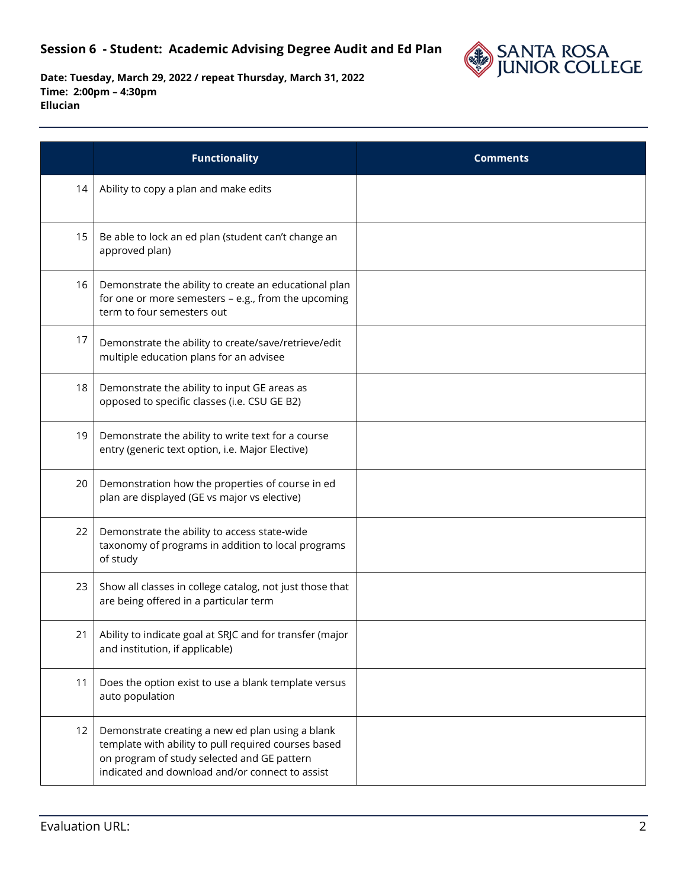## **Session 6 - Student: Academic Advising Degree Audit and Ed Plan**



|    | <b>Functionality</b>                                                                                                                                                                                       | <b>Comments</b> |
|----|------------------------------------------------------------------------------------------------------------------------------------------------------------------------------------------------------------|-----------------|
| 14 | Ability to copy a plan and make edits                                                                                                                                                                      |                 |
| 15 | Be able to lock an ed plan (student can't change an<br>approved plan)                                                                                                                                      |                 |
| 16 | Demonstrate the ability to create an educational plan<br>for one or more semesters - e.g., from the upcoming<br>term to four semesters out                                                                 |                 |
| 17 | Demonstrate the ability to create/save/retrieve/edit<br>multiple education plans for an advisee                                                                                                            |                 |
| 18 | Demonstrate the ability to input GE areas as<br>opposed to specific classes (i.e. CSU GE B2)                                                                                                               |                 |
| 19 | Demonstrate the ability to write text for a course<br>entry (generic text option, i.e. Major Elective)                                                                                                     |                 |
| 20 | Demonstration how the properties of course in ed<br>plan are displayed (GE vs major vs elective)                                                                                                           |                 |
| 22 | Demonstrate the ability to access state-wide<br>taxonomy of programs in addition to local programs<br>of study                                                                                             |                 |
| 23 | Show all classes in college catalog, not just those that<br>are being offered in a particular term                                                                                                         |                 |
| 21 | Ability to indicate goal at SRJC and for transfer (major<br>and institution, if applicable)                                                                                                                |                 |
| 11 | Does the option exist to use a blank template versus<br>auto population                                                                                                                                    |                 |
| 12 | Demonstrate creating a new ed plan using a blank<br>template with ability to pull required courses based<br>on program of study selected and GE pattern<br>indicated and download and/or connect to assist |                 |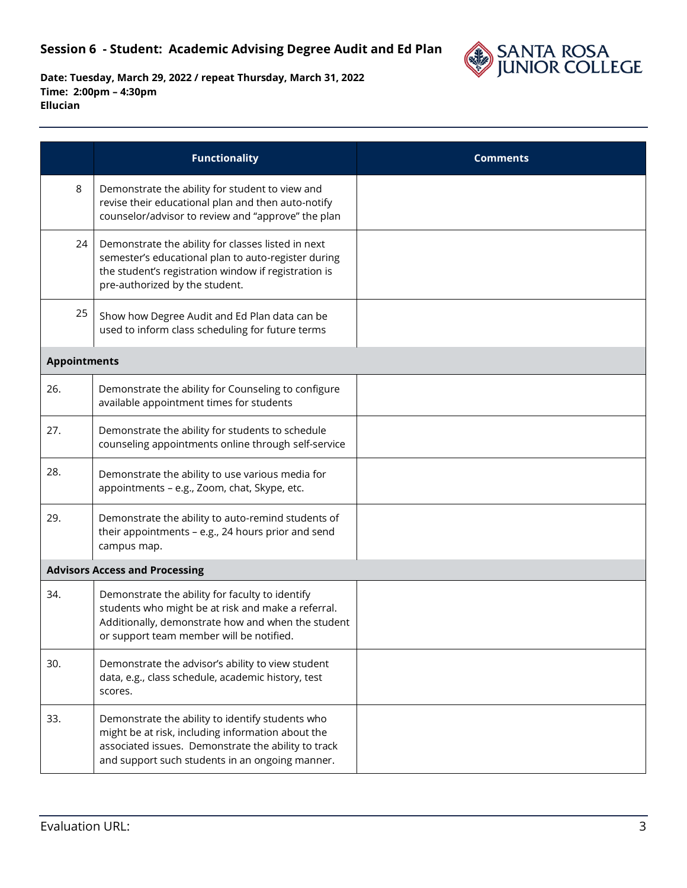

|                     | <b>Functionality</b>                                                                                                                                                                                            | <b>Comments</b> |
|---------------------|-----------------------------------------------------------------------------------------------------------------------------------------------------------------------------------------------------------------|-----------------|
| 8                   | Demonstrate the ability for student to view and<br>revise their educational plan and then auto-notify<br>counselor/advisor to review and "approve" the plan                                                     |                 |
| 24                  | Demonstrate the ability for classes listed in next<br>semester's educational plan to auto-register during<br>the student's registration window if registration is<br>pre-authorized by the student.             |                 |
| 25                  | Show how Degree Audit and Ed Plan data can be<br>used to inform class scheduling for future terms                                                                                                               |                 |
| <b>Appointments</b> |                                                                                                                                                                                                                 |                 |
| 26.                 | Demonstrate the ability for Counseling to configure<br>available appointment times for students                                                                                                                 |                 |
| 27.                 | Demonstrate the ability for students to schedule<br>counseling appointments online through self-service                                                                                                         |                 |
| 28.                 | Demonstrate the ability to use various media for<br>appointments - e.g., Zoom, chat, Skype, etc.                                                                                                                |                 |
| 29.                 | Demonstrate the ability to auto-remind students of<br>their appointments - e.g., 24 hours prior and send<br>campus map.                                                                                         |                 |
|                     | <b>Advisors Access and Processing</b>                                                                                                                                                                           |                 |
| 34.                 | Demonstrate the ability for faculty to identify<br>students who might be at risk and make a referral.<br>Additionally, demonstrate how and when the student<br>or support team member will be notified.         |                 |
| 30.                 | Demonstrate the advisor's ability to view student<br>data, e.g., class schedule, academic history, test<br>scores.                                                                                              |                 |
| 33.                 | Demonstrate the ability to identify students who<br>might be at risk, including information about the<br>associated issues. Demonstrate the ability to track<br>and support such students in an ongoing manner. |                 |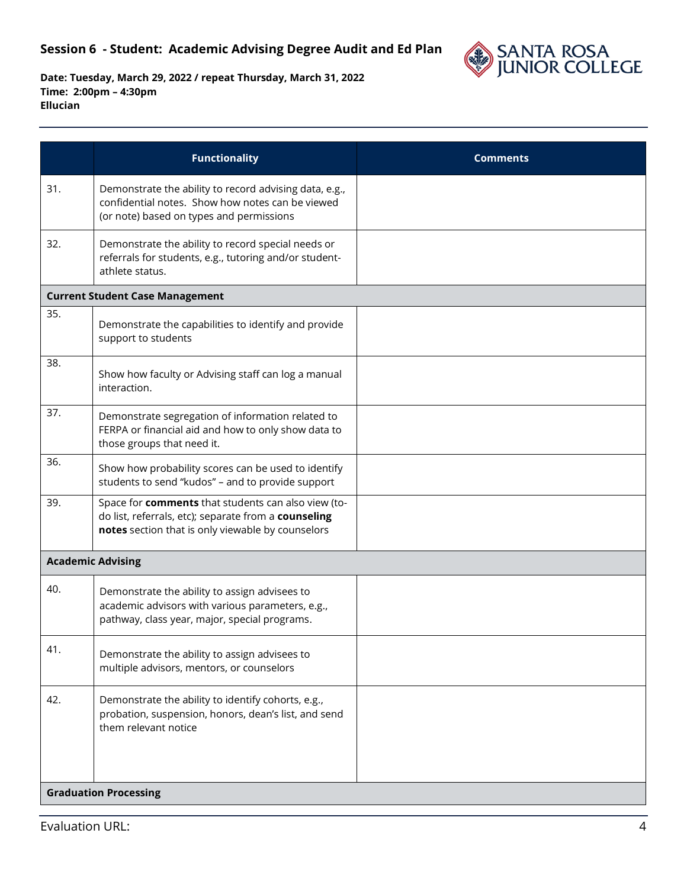

|     | <b>Functionality</b>                                                                                                                                             | <b>Comments</b> |
|-----|------------------------------------------------------------------------------------------------------------------------------------------------------------------|-----------------|
| 31. | Demonstrate the ability to record advising data, e.g.,<br>confidential notes. Show how notes can be viewed<br>(or note) based on types and permissions           |                 |
| 32. | Demonstrate the ability to record special needs or<br>referrals for students, e.g., tutoring and/or student-<br>athlete status.                                  |                 |
|     | <b>Current Student Case Management</b>                                                                                                                           |                 |
| 35. | Demonstrate the capabilities to identify and provide<br>support to students                                                                                      |                 |
| 38. | Show how faculty or Advising staff can log a manual<br>interaction.                                                                                              |                 |
| 37. | Demonstrate segregation of information related to<br>FERPA or financial aid and how to only show data to<br>those groups that need it.                           |                 |
| 36. | Show how probability scores can be used to identify<br>students to send "kudos" - and to provide support                                                         |                 |
| 39. | Space for comments that students can also view (to-<br>do list, referrals, etc); separate from a counseling<br>notes section that is only viewable by counselors |                 |
|     | <b>Academic Advising</b>                                                                                                                                         |                 |
| 40. | Demonstrate the ability to assign advisees to<br>academic advisors with various parameters, e.g.,<br>pathway, class year, major, special programs.               |                 |
| 41. | Demonstrate the ability to assign advisees to<br>multiple advisors, mentors, or counselors                                                                       |                 |
| 42. | Demonstrate the ability to identify cohorts, e.g.,<br>probation, suspension, honors, dean's list, and send<br>them relevant notice                               |                 |
|     | <b>Graduation Processing</b>                                                                                                                                     |                 |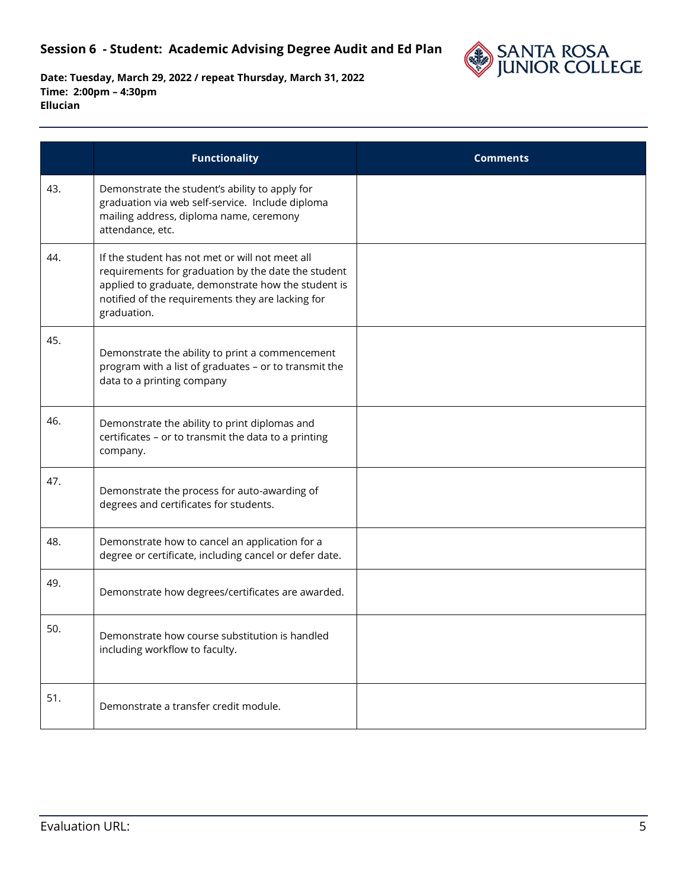

|     | <b>Functionality</b>                                                                                                                                                                                                              | <b>Comments</b> |
|-----|-----------------------------------------------------------------------------------------------------------------------------------------------------------------------------------------------------------------------------------|-----------------|
| 43. | Demonstrate the student's ability to apply for<br>graduation via web self-service. Include diploma<br>mailing address, diploma name, ceremony<br>attendance, etc.                                                                 |                 |
| 44. | If the student has not met or will not meet all<br>requirements for graduation by the date the student<br>applied to graduate, demonstrate how the student is<br>notified of the requirements they are lacking for<br>graduation. |                 |
| 45. | Demonstrate the ability to print a commencement<br>program with a list of graduates - or to transmit the<br>data to a printing company                                                                                            |                 |
| 46. | Demonstrate the ability to print diplomas and<br>certificates - or to transmit the data to a printing<br>company.                                                                                                                 |                 |
| 47. | Demonstrate the process for auto-awarding of<br>degrees and certificates for students.                                                                                                                                            |                 |
| 48. | Demonstrate how to cancel an application for a<br>degree or certificate, including cancel or defer date.                                                                                                                          |                 |
| 49. | Demonstrate how degrees/certificates are awarded.                                                                                                                                                                                 |                 |
| 50. | Demonstrate how course substitution is handled<br>including workflow to faculty.                                                                                                                                                  |                 |
| 51. | Demonstrate a transfer credit module.                                                                                                                                                                                             |                 |